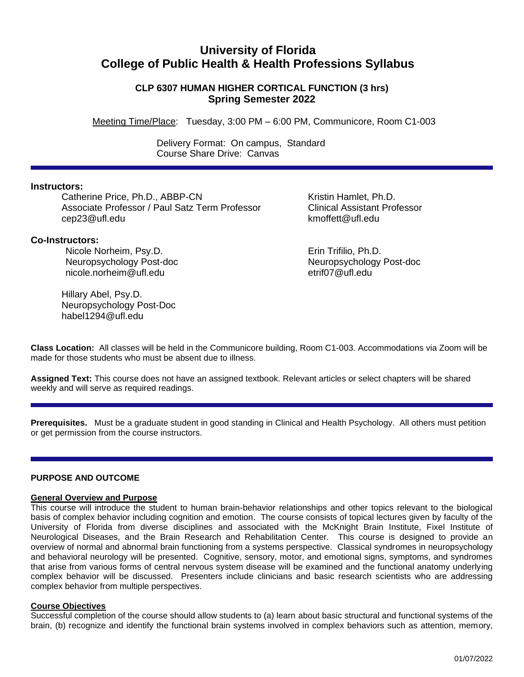# **University of Florida College of Public Health & Health Professions Syllabus**

# **CLP 6307 HUMAN HIGHER CORTICAL FUNCTION (3 hrs) Spring Semester 2022**

Meeting Time/Place: Tuesday, 3:00 PM – 6:00 PM, Communicore, Room C1-003

 Delivery Format: On campus, Standard Course Share Drive: Canvas

# **Instructors:**

Catherine Price, Ph.D., ABBP-CN *Kristin Hamlet, Ph.D.* Associate Professor / Paul Satz Term Professor Clinical Assistant Professor cep23@ufl.edu kmoffett@ufl.edu

# **Co-Instructors:**

Nicole Norheim, Psy.D. Erin Trifilio, Ph.D. Neuropsychology Post-doc Neuropsychology Post-doc nicole.norheim@ufl.edu etrif07@ufl.edu

Hillary Abel, Psy.D. Neuropsychology Post-Doc habel1294@ufl.edu

**Class Location:** All classes will be held in the Communicore building, Room C1-003. Accommodations via Zoom will be made for those students who must be absent due to illness.

**Assigned Text:** This course does not have an assigned textbook. Relevant articles or select chapters will be shared weekly and will serve as required readings.

**Prerequisites.** Must be a graduate student in good standing in Clinical and Health Psychology. All others must petition or get permission from the course instructors.

#### **PURPOSE AND OUTCOME**

### **General Overview and Purpose**

This course will introduce the student to human brain-behavior relationships and other topics relevant to the biological basis of complex behavior including cognition and emotion. The course consists of topical lectures given by faculty of the University of Florida from diverse disciplines and associated with the McKnight Brain Institute, Fixel Institute of Neurological Diseases, and the Brain Research and Rehabilitation Center. This course is designed to provide an overview of normal and abnormal brain functioning from a systems perspective. Classical syndromes in neuropsychology and behavioral neurology will be presented. Cognitive, sensory, motor, and emotional signs, symptoms, and syndromes that arise from various forms of central nervous system disease will be examined and the functional anatomy underlying complex behavior will be discussed. Presenters include clinicians and basic research scientists who are addressing complex behavior from multiple perspectives.

#### **Course Objectives**

Successful completion of the course should allow students to (a) learn about basic structural and functional systems of the brain, (b) recognize and identify the functional brain systems involved in complex behaviors such as attention, memory,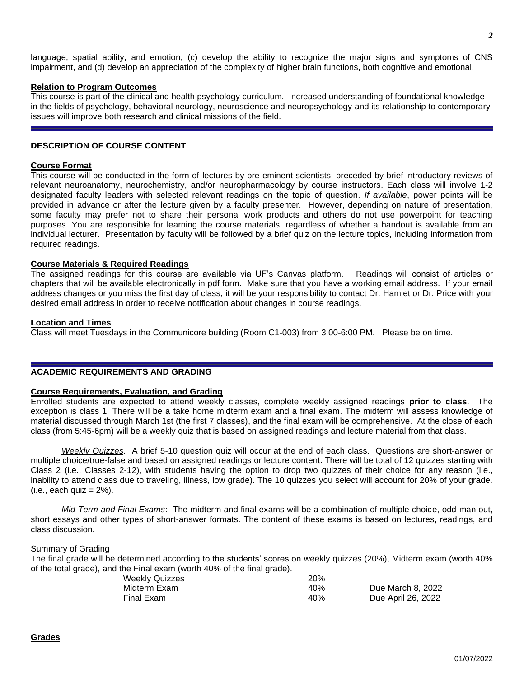language, spatial ability, and emotion, (c) develop the ability to recognize the major signs and symptoms of CNS impairment, and (d) develop an appreciation of the complexity of higher brain functions, both cognitive and emotional.

#### **Relation to Program Outcomes**

This course is part of the clinical and health psychology curriculum. Increased understanding of foundational knowledge in the fields of psychology, behavioral neurology, neuroscience and neuropsychology and its relationship to contemporary issues will improve both research and clinical missions of the field.

# **DESCRIPTION OF COURSE CONTENT**

#### **Course Format**

This course will be conducted in the form of lectures by pre-eminent scientists, preceded by brief introductory reviews of relevant neuroanatomy, neurochemistry, and/or neuropharmacology by course instructors. Each class will involve 1-2 designated faculty leaders with selected relevant readings on the topic of question. *If available*, power points will be provided in advance or after the lecture given by a faculty presenter. However, depending on nature of presentation, some faculty may prefer not to share their personal work products and others do not use powerpoint for teaching purposes. You are responsible for learning the course materials, regardless of whether a handout is available from an individual lecturer. Presentation by faculty will be followed by a brief quiz on the lecture topics, including information from required readings.

#### **Course Materials & Required Readings**

The assigned readings for this course are available via UF's Canvas platform. Readings will consist of articles or chapters that will be available electronically in pdf form. Make sure that you have a working email address. If your email address changes or you miss the first day of class, it will be your responsibility to contact Dr. Hamlet or Dr. Price with your desired email address in order to receive notification about changes in course readings.

#### **Location and Times**

Class will meet Tuesdays in the Communicore building (Room C1-003) from 3:00-6:00 PM. Please be on time.

### **ACADEMIC REQUIREMENTS AND GRADING**

#### **Course Requirements, Evaluation, and Grading**

Enrolled students are expected to attend weekly classes, complete weekly assigned readings **prior to class**. The exception is class 1. There will be a take home midterm exam and a final exam. The midterm will assess knowledge of material discussed through March 1st (the first 7 classes), and the final exam will be comprehensive. At the close of each class (from 5:45-6pm) will be a weekly quiz that is based on assigned readings and lecture material from that class.

*Weekly Quizzes*. A brief 5-10 question quiz will occur at the end of each class. Questions are short-answer or multiple choice/true-false and based on assigned readings or lecture content. There will be total of 12 quizzes starting with Class 2 (i.e., Classes 2-12), with students having the option to drop two quizzes of their choice for any reason (i.e., inability to attend class due to traveling, illness, low grade). The 10 quizzes you select will account for 20% of your grade.  $(i.e., each quiz = 2\%).$ 

*Mid-Term and Final Exams*: The midterm and final exams will be a combination of multiple choice, odd-man out, short essays and other types of short-answer formats. The content of these exams is based on lectures, readings, and class discussion.

#### Summary of Grading

The final grade will be determined according to the students' scores on weekly quizzes (20%), Midterm exam (worth 40% of the total grade), and the Final exam (worth 40% of the final grade).

| Weekly Quizzes | 20% |                    |
|----------------|-----|--------------------|
| Midterm Exam   | 40% | Due March 8, 2022  |
| Final Exam     | 40% | Due April 26, 2022 |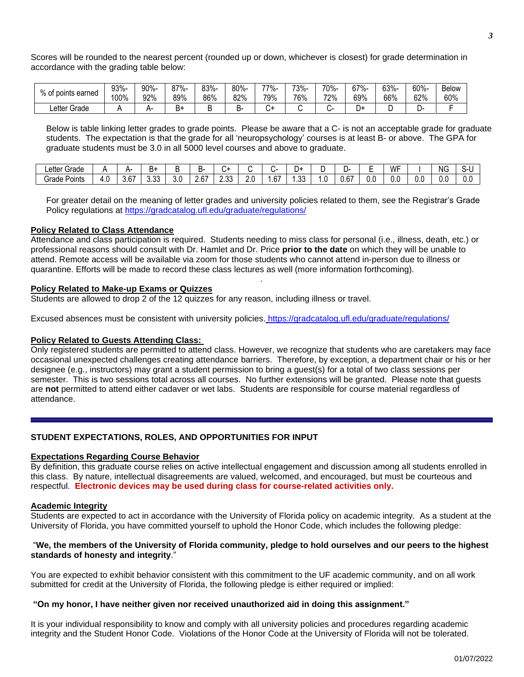Scores will be rounded to the nearest percent (rounded up or down, whichever is closest) for grade determination in accordance with the grading table below:

| % of .        | 93%- | 90%- | $27% -$ | 83%- | 80%- | 77%-    | 73%- | 70%- | 67%- | 63%- | 60%- | <b>Below</b> |
|---------------|------|------|---------|------|------|---------|------|------|------|------|------|--------------|
| points earned | 100% | 92%  | 89%     | 86%  | 82%  | 79%     | 76%  | 72%  | 69%  | 66%  | 62%  | 60%          |
| Letter Grade  |      |      | D٦      |      | ↩    | ∽<br>ີ~ |      |      | +ر   |      |      |              |

Below is table linking letter grades to grade points. Please be aware that a C- is not an acceptable grade for graduate students. The expectation is that the grade for all 'neuropsychology' courses is at least B- or above. The GPA for graduate students must be 3.0 in all 5000 level courses and above to graduate.

| ∟etter<br>$\sim$<br>Grade |              | -                    | в۰             |     | ÷.                         |                |                |     | - س           |       |               | -   | WF  |     | NG. | ו-ר |
|---------------------------|--------------|----------------------|----------------|-----|----------------------------|----------------|----------------|-----|---------------|-------|---------------|-----|-----|-----|-----|-----|
| - -<br>Grade<br>Points    | 41. I<br>−.∿ | $\sim$<br>h<br>י ∪.ט | $\sim$<br>v.vu | 3.0 | $\sim$<br>. .<br><u> v</u> | $\sim$<br>ںں.ے | ח נ<br><u></u> | .67 | $\sim$<br>…ບ∪ | . . v | $\sim$<br>U.b | U.U | 0.C | u.c | v.v | ◡.  |

For greater detail on the meaning of letter grades and university policies related to them, see the Registrar's Grade Policy regulations at<https://gradcatalog.ufl.edu/graduate/regulations/>

#### **Policy Related to Class Attendance**

Attendance and class participation is required. Students needing to miss class for personal (i.e., illness, death, etc.) or professional reasons should consult with Dr. Hamlet and Dr. Price **prior to the date** on which they will be unable to attend. Remote access will be available via zoom for those students who cannot attend in-person due to illness or quarantine. Efforts will be made to record these class lectures as well (more information forthcoming).

*.*

#### **Policy Related to Make-up Exams or Quizzes**

Students are allowed to drop 2 of the 12 quizzes for any reason, including illness or travel.

Excused absences must be consistent with university policies. <https://gradcatalog.ufl.edu/graduate/regulations/>

#### **Policy Related to Guests Attending Class:**

Only registered students are permitted to attend class. However, we recognize that students who are caretakers may face occasional unexpected challenges creating attendance barriers. Therefore, by exception, a department chair or his or her designee (e.g., instructors) may grant a student permission to bring a guest(s) for a total of two class sessions per semester. This is two sessions total across all courses. No further extensions will be granted. Please note that guests are **not** permitted to attend either cadaver or wet labs. Students are responsible for course material regardless of attendance.

# **STUDENT EXPECTATIONS, ROLES, AND OPPORTUNITIES FOR INPUT**

#### **Expectations Regarding Course Behavior**

By definition, this graduate course relies on active intellectual engagement and discussion among all students enrolled in this class. By nature, intellectual disagreements are valued, welcomed, and encouraged, but must be courteous and respectful. **Electronic devices may be used during class for course-related activities only.**

#### **Academic Integrity**

Students are expected to act in accordance with the University of Florida policy on academic integrity. As a student at the University of Florida, you have committed yourself to uphold the Honor Code, which includes the following pledge:

#### "We, the members of the University of Florida community, pledge to hold ourselves and our peers to the highest **standards of honesty and integrity**."

You are expected to exhibit behavior consistent with this commitment to the UF academic community, and on all work submitted for credit at the University of Florida, the following pledge is either required or implied:

#### **"On my honor, I have neither given nor received unauthorized aid in doing this assignment."**

It is your individual responsibility to know and comply with all university policies and procedures regarding academic integrity and the Student Honor Code. Violations of the Honor Code at the University of Florida will not be tolerated.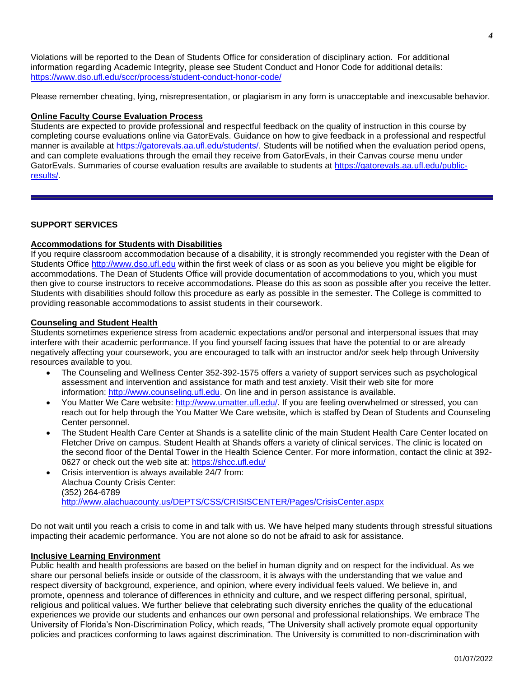Violations will be reported to the Dean of Students Office for consideration of disciplinary action. For additional information regarding Academic Integrity, please see Student Conduct and Honor Code for additional details: <https://www.dso.ufl.edu/sccr/process/student-conduct-honor-code/>

Please remember cheating, lying, misrepresentation, or plagiarism in any form is unacceptable and inexcusable behavior.

#### **Online Faculty Course Evaluation Process**

Students are expected to provide professional and respectful feedback on the quality of instruction in this course by completing course evaluations online via GatorEvals. Guidance on how to give feedback in a professional and respectful manner is available at [https://gatorevals.aa.ufl.edu/students/.](https://gatorevals.aa.ufl.edu/students/) Students will be notified when the evaluation period opens, and can complete evaluations through the email they receive from GatorEvals, in their Canvas course menu under GatorEvals. Summaries of course evaluation results are available to students at [https://gatorevals.aa.ufl.edu/public](https://gatorevals.aa.ufl.edu/public-results/)[results/.](https://gatorevals.aa.ufl.edu/public-results/)

#### **SUPPORT SERVICES**

# **Accommodations for Students with Disabilities**

If you require classroom accommodation because of a disability, it is strongly recommended you register with the Dean of Students Office [http://www.dso.ufl.edu](http://www.dso.ufl.edu/) within the first week of class or as soon as you believe you might be eligible for accommodations. The Dean of Students Office will provide documentation of accommodations to you, which you must then give to course instructors to receive accommodations. Please do this as soon as possible after you receive the letter. Students with disabilities should follow this procedure as early as possible in the semester. The College is committed to providing reasonable accommodations to assist students in their coursework.

#### **Counseling and Student Health**

Students sometimes experience stress from academic expectations and/or personal and interpersonal issues that may interfere with their academic performance. If you find yourself facing issues that have the potential to or are already negatively affecting your coursework, you are encouraged to talk with an instructor and/or seek help through University resources available to you.

- The Counseling and Wellness Center 352-392-1575 offers a variety of support services such as psychological assessment and intervention and assistance for math and test anxiety. Visit their web site for more information: [http://www.counseling.ufl.edu.](http://www.counseling.ufl.edu/) On line and in person assistance is available.
- You Matter We Care website: [http://www.umatter.ufl.edu/.](http://www.umatter.ufl.edu/) If you are feeling overwhelmed or stressed, you can reach out for help through the You Matter We Care website, which is staffed by Dean of Students and Counseling Center personnel.
- The Student Health Care Center at Shands is a satellite clinic of the main Student Health Care Center located on Fletcher Drive on campus. Student Health at Shands offers a variety of clinical services. The clinic is located on the second floor of the Dental Tower in the Health Science Center. For more information, contact the clinic at 392- 0627 or check out the web site at: <https://shcc.ufl.edu/>
- Crisis intervention is always available 24/7 from: Alachua County Crisis Center: (352) 264-6789 <http://www.alachuacounty.us/DEPTS/CSS/CRISISCENTER/Pages/CrisisCenter.aspx>

Do not wait until you reach a crisis to come in and talk with us. We have helped many students through stressful situations impacting their academic performance. You are not alone so do not be afraid to ask for assistance.

#### **Inclusive Learning Environment**

Public health and health professions are based on the belief in human dignity and on respect for the individual. As we share our personal beliefs inside or outside of the classroom, it is always with the understanding that we value and respect diversity of background, experience, and opinion, where every individual feels valued. We believe in, and promote, openness and tolerance of differences in ethnicity and culture, and we respect differing personal, spiritual, religious and political values. We further believe that celebrating such diversity enriches the quality of the educational experiences we provide our students and enhances our own personal and professional relationships. We embrace The University of Florida's Non-Discrimination Policy, which reads, "The University shall actively promote equal opportunity policies and practices conforming to laws against discrimination. The University is committed to non-discrimination with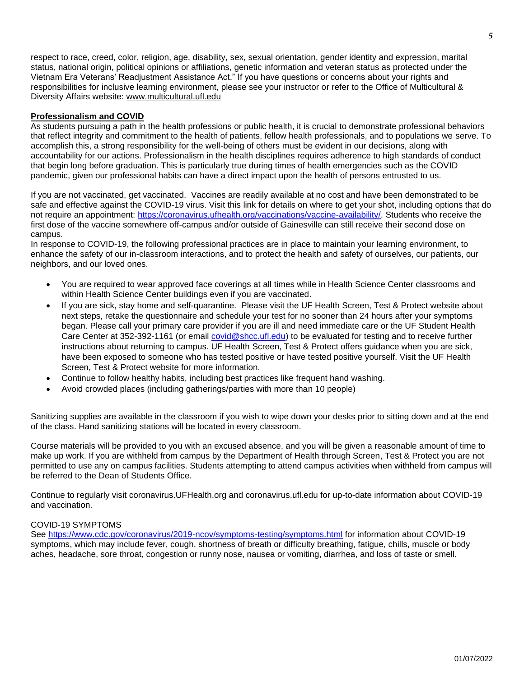respect to race, creed, color, religion, age, disability, sex, sexual orientation, gender identity and expression, marital status, national origin, political opinions or affiliations, genetic information and veteran status as protected under the Vietnam Era Veterans' Readjustment Assistance Act." If you have questions or concerns about your rights and responsibilities for inclusive learning environment, please see your instructor or refer to the Office of Multicultural & Diversity Affairs website: [www.multicultural.ufl.edu](http://www.multicultural.ufl.edu/)

# **Professionalism and COVID**

As students pursuing a path in the health professions or public health, it is crucial to demonstrate professional behaviors that reflect integrity and commitment to the health of patients, fellow health professionals, and to populations we serve. To accomplish this, a strong responsibility for the well-being of others must be evident in our decisions, along with accountability for our actions. Professionalism in the health disciplines requires adherence to high standards of conduct that begin long before graduation. This is particularly true during times of health emergencies such as the COVID pandemic, given our professional habits can have a direct impact upon the health of persons entrusted to us.

If you are not vaccinated, get vaccinated. Vaccines are readily available at no cost and have been demonstrated to be safe and effective against the COVID-19 virus. Visit this link for details on where to get your shot, including options that do not require an appointment: [https://coronavirus.ufhealth.org/vaccinations/vaccine-availability/.](https://coronavirus.ufhealth.org/vaccinations/vaccine-availability/) Students who receive the first dose of the vaccine somewhere off-campus and/or outside of Gainesville can still receive their second dose on campus.

In response to COVID-19, the following professional practices are in place to maintain your learning environment, to enhance the safety of our in-classroom interactions, and to protect the health and safety of ourselves, our patients, our neighbors, and our loved ones.

- You are required to wear approved face coverings at all times while in Health Science Center classrooms and within Health Science Center buildings even if you are vaccinated.
- If you are sick, stay home and self-quarantine. Please visit the UF Health Screen, Test & Protect website about next steps, retake the questionnaire and schedule your test for no sooner than 24 hours after your symptoms began. Please call your primary care provider if you are ill and need immediate care or the UF Student Health Care Center at 352-392-1161 (or email [covid@shcc.ufl.edu\)](mailto:covid@shcc.ufl.edu) to be evaluated for testing and to receive further instructions about returning to campus. UF Health Screen, Test & Protect offers guidance when you are sick, have been exposed to someone who has tested positive or have tested positive yourself. Visit the UF Health Screen, Test & Protect website for more information.
- Continue to follow healthy habits, including best practices like frequent hand washing.
- Avoid crowded places (including gatherings/parties with more than 10 people)

Sanitizing supplies are available in the classroom if you wish to wipe down your desks prior to sitting down and at the end of the class. Hand sanitizing stations will be located in every classroom.

Course materials will be provided to you with an excused absence, and you will be given a reasonable amount of time to make up work. If you are withheld from campus by the Department of Health through Screen, Test & Protect you are not permitted to use any on campus facilities. Students attempting to attend campus activities when withheld from campus will be referred to the Dean of Students Office.

Continue to regularly visit coronavirus.UFHealth.org and coronavirus.ufl.edu for up-to-date information about COVID-19 and vaccination.

#### COVID-19 SYMPTOMS

See [https://www.cdc.gov/coronavirus/2019-ncov/symptoms-testing/symptoms.html](https://urldefense.proofpoint.com/v2/url?u=https-3A__www.cdc.gov_coronavirus_2019-2Dncov_symptoms-2Dtesting_symptoms.html&d=DwQFAg&c=sJ6xIWYx-zLMB3EPkvcnVg&r=HOjB3wTc1VPyCvfz9btY7aQp_Le9OSY54oiEJY0crMQ&m=tmgjHs9psTsqwvOy0tOSftheosnuJHVGDhw8tEu6wUY&s=zMP9zJDHdeaqLsPio6bxrfMrKmXjgl4LlgeBwKDT3Y4&e=) for information about COVID-19 symptoms, which may include fever, cough, shortness of breath or difficulty breathing, fatigue, chills, muscle or body aches, headache, sore throat, congestion or runny nose, nausea or vomiting, diarrhea, and loss of taste or smell.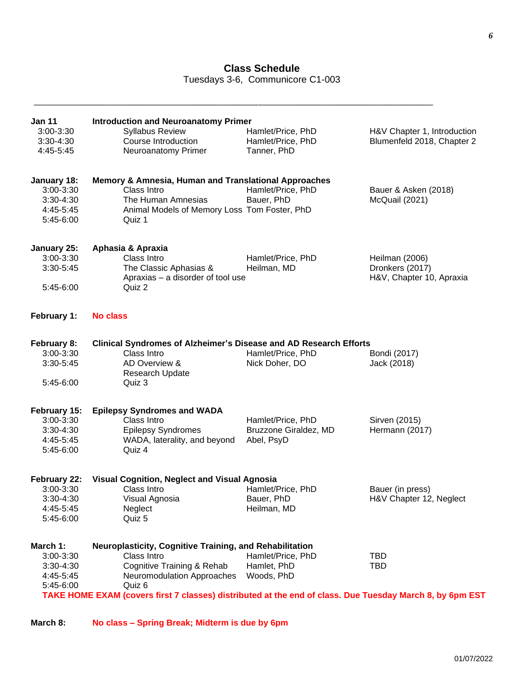# **Class Schedule**

Tuesdays 3-6, Communicore C1-003

\_\_\_\_\_\_\_\_\_\_\_\_\_\_\_\_\_\_\_\_\_\_\_\_\_\_\_\_\_\_\_\_\_\_\_\_\_\_\_\_\_\_\_\_\_\_\_\_\_\_\_\_\_\_\_\_\_\_\_\_\_\_\_\_\_\_\_\_\_\_\_\_\_\_\_\_\_\_\_\_\_\_\_\_\_\_\_\_\_

| <b>Jan 11</b><br>3:00-3:30<br>3:30-4:30<br>4:45-5:45                 | <b>Introduction and Neuroanatomy Primer</b><br><b>Syllabus Review</b><br>Course Introduction<br>Neuroanatomy Primer                                                                                                                                      | Hamlet/Price, PhD<br>Hamlet/Price, PhD<br>Tanner, PhD    | H&V Chapter 1, Introduction<br>Blumenfeld 2018, Chapter 2     |
|----------------------------------------------------------------------|----------------------------------------------------------------------------------------------------------------------------------------------------------------------------------------------------------------------------------------------------------|----------------------------------------------------------|---------------------------------------------------------------|
| January 18:<br>3:00-3:30<br>3:30-4:30<br>4:45-5:45<br>5:45-6:00      | Memory & Amnesia, Human and Translational Approaches<br>Class Intro<br>The Human Amnesias<br>Animal Models of Memory Loss Tom Foster, PhD<br>Quiz 1                                                                                                      | Hamlet/Price, PhD<br>Bauer, PhD                          | Bauer & Asken (2018)<br>McQuail (2021)                        |
| January 25:<br>3:00-3:30<br>3:30-5:45<br>5:45-6:00                   | Aphasia & Apraxia<br>Class Intro<br>The Classic Aphasias &<br>Apraxias - a disorder of tool use<br>Quiz 2                                                                                                                                                | Hamlet/Price, PhD<br>Heilman, MD                         | Heilman (2006)<br>Dronkers (2017)<br>H&V, Chapter 10, Apraxia |
| February 1:                                                          | <b>No class</b>                                                                                                                                                                                                                                          |                                                          |                                                               |
| February 8:<br>3:00-3:30<br>$3:30-5:45$<br>5:45-6:00                 | Clinical Syndromes of Alzheimer's Disease and AD Research Efforts<br>Class Intro<br>AD Overview &<br>Research Update<br>Quiz 3                                                                                                                           | Hamlet/Price, PhD<br>Nick Doher, DO                      | Bondi (2017)<br>Jack (2018)                                   |
| February 15:<br>3:00-3:30<br>$3:30 - 4:30$<br>4:45-5:45<br>5:45-6:00 | <b>Epilepsy Syndromes and WADA</b><br>Class Intro<br><b>Epilepsy Syndromes</b><br>WADA, laterality, and beyond<br>Quiz 4                                                                                                                                 | Hamlet/Price, PhD<br>Bruzzone Giraldez, MD<br>Abel, PsyD | Sirven (2015)<br>Hermann (2017)                               |
| February 22:<br>3:00-3:30<br>3:30-4:30<br>4:45-5:45<br>5:45-6:00     | <b>Visual Cognition, Neglect and Visual Agnosia</b><br>Class Intro<br>Visual Agnosia<br>Neglect<br>Quiz 5                                                                                                                                                | Hamlet/Price, PhD<br>Bauer, PhD<br>Heilman, MD           | Bauer (in press)<br>H&V Chapter 12, Neglect                   |
| March 1:<br>3:00-3:30<br>3:30-4:30<br>4:45-5:45<br>5:45-6:00         | Neuroplasticity, Cognitive Training, and Rehabilitation<br>Class Intro<br>Cognitive Training & Rehab<br>Neuromodulation Approaches<br>Quiz 6<br>TAKE HOME EXAM (covers first 7 classes) distributed at the end of class. Due Tuesday March 8, by 6pm EST | Hamlet/Price, PhD<br>Hamlet, PhD<br>Woods, PhD           | <b>TBD</b><br><b>TBD</b>                                      |

# **March 8: No class – Spring Break; Midterm is due by 6pm**